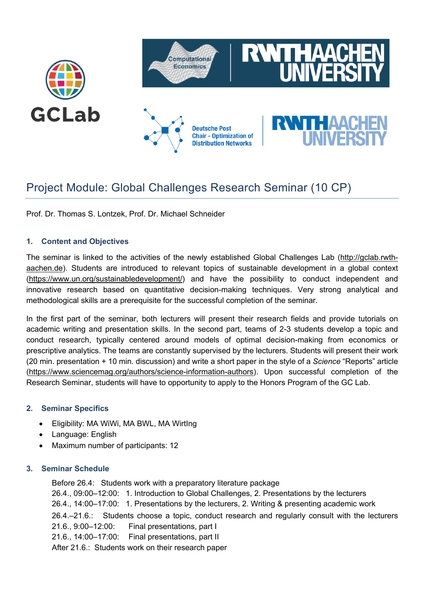

# Project Module: Global Challenges Research Seminar (10 CP)

Prof. Dr. Thomas S. Lontzek, Prof. Dr. Michael Schneider

## **1. Content and Objectives**

The seminar is linked to the activities of the newly established Global Challenges Lab (http://gclab.rwthaachen.de). Students are introduced to relevant topics of sustainable development in a global context (https://www.un.org/sustainabledevelopment/) and have the possibility to conduct independent and innovative research based on quantitative decision-making techniques. Very strong analytical and methodological skills are a prerequisite for the successful completion of the seminar.

In the first part of the seminar, both lecturers will present their research fields and provide tutorials on academic writing and presentation skills. In the second part, teams of 2-3 students develop a topic and conduct research, typically centered around models of optimal decision-making from economics or prescriptive analytics. The teams are constantly supervised by the lecturers. Students will present their work (20 min. presentation + 10 min. discussion) and write a short paper in the style of a *Science* "Reports" article (https://www.sciencemag.org/authors/science-information-authors). Upon successful completion of the Research Seminar, students will have to opportunity to apply to the Honors Program of the GC Lab.

## **2. Seminar Specifics**

- Eligibility: MA WiWi, MA BWL, MA WirtIng
- Language: English
- Maximum number of participants: 12

## **3. Seminar Schedule**

Before 26.4: Students work with a preparatory literature package 26.4., 09:00–12:00: 1. Introduction to Global Challenges, 2. Presentations by the lecturers 26.4., 14:00–17:00: 1. Presentations by the lecturers, 2. Writing & presenting academic work 26.4.–21.6.: Students choose a topic, conduct research and regularly consult with the lecturers 21.6., 9:00–12:00: Final presentations, part I 21.6., 14:00–17:00: Final presentations, part II After 21.6.: Students work on their research paper